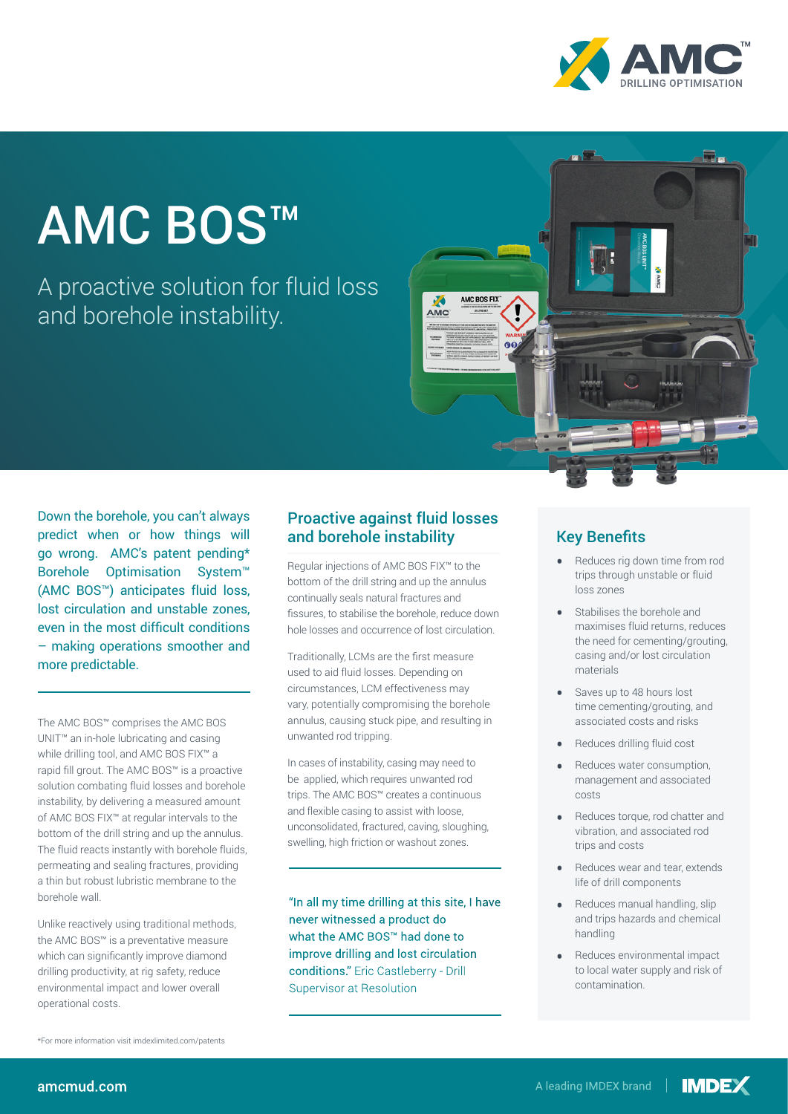

# AMC BOS™

A proactive solution for fluid loss and borehole instability.



Down the borehole, you can't always predict when or how things will go wrong. AMC's patent pending\* Borehole Optimisation System™ (AMC BOS™) anticipates fluid loss, lost circulation and unstable zones, even in the most difficult conditions – making operations smoother and more predictable.

The AMC BOS™ comprises the AMC BOS UNIT™ an in-hole lubricating and casing while drilling tool, and AMC BOS FIX™ a rapid fill grout. The AMC BOS™ is a proactive solution combating fluid losses and borehole instability, by delivering a measured amount of AMC BOS FIX™ at regular intervals to the bottom of the drill string and up the annulus. The fluid reacts instantly with borehole fluids, permeating and sealing fractures, providing a thin but robust lubristic membrane to the borehole wall.

Unlike reactively using traditional methods, the AMC BOS™ is a preventative measure which can significantly improve diamond drilling productivity, at rig safety, reduce environmental impact and lower overall operational costs. South Africa

#### Proactive against fluid losses and borehole instability

Regular injections of AMC BOS FIX™ to the bottom of the drill string and up the annulus continually seals natural fractures and fissures, to stabilise the borehole, reduce down hole losses and occurrence of lost circulation.

Traditionally, LCMs are the first measure used to aid fluid losses. Depending on circumstances, LCM effectiveness may vary, potentially compromising the borehole annulus, causing stuck pipe, and resulting in unwanted rod tripping.

In cases of instability, casing may need to be applied, which requires unwanted rod trips. The AMC BOS™ creates a continuous and flexible casing to assist with loose, unconsolidated, fractured, caving, sloughing, swelling, high friction or washout zones.

 $\mathbf{I}^{\text{1}}$  and lost circulation improve drilling and lost circulation **SOUTH AMERICA** what the AMC BOS™ had done to conditions." Eric Castleberry - Drill  $\overline{5}$ "In all my time drilling at this site, I have never witnessed a product do Supervisor at Resolution

T +56 (2) 2589 9300

#### Key Benefits

- Reduces rig down time from rod trips through unstable or fluid loss zones
- Stabilises the borehole and maximises fluid returns, reduces the need for cementing/grouting, casing and/or lost circulation materials
- Saves up to 48 hours lost time cementing/grouting, and associated costs and risks
- Reduces drilling fluid cost
- Reduces water consumption, management and associated costs
- Reduces torque, rod chatter and vibration, and associated rod trips and costs
- Reduces wear and tear, extends life of drill components
- and trips hazards and chemical<br>' USA / Canada Reduces manual handling, slip handling
- Reduces environmental impact to local water supply and risk of contamination.

\*For more information visit imdexlimited.com/patents